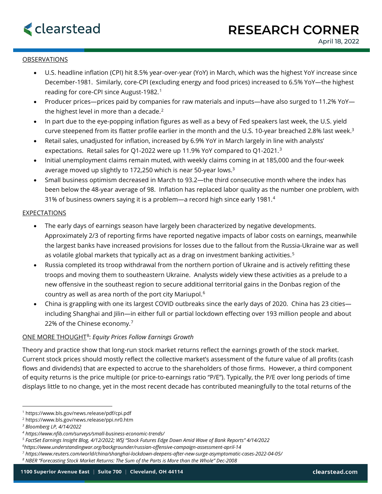

# OBSERVATIONS

- U.S. headline inflation (CPI) hit 8.5% year-over-year (YoY) in March, which was the highest YoY increase since December-1981. Similarly, core-CPI (excluding energy and food prices) increased to 6.5% YoY—the highest reading for core-CPI since August-1982.[1](#page-0-0)
- Producer prices—prices paid by companies for raw materials and inputs—have also surged to 11.2% YoY the highest level in more than a decade. $2$
- In part due to the eye-popping inflation figures as well as a bevy of Fed speakers last week, the U.S. yield curve steepened from its flatter profile earlier in the month and the U.S. 10-year breached 2.8% last week.<sup>3</sup>
- Retail sales, unadjusted for inflation, increased by 6.9% YoY in March largely in line with analysts' expectations. Retail sales for Q1-2022 were up 11.9% YoY compared to Q1-2021.<sup>[3](#page-0-2)</sup>
- Initial unemployment claims remain muted, with weekly claims coming in at 185,000 and the four-week average moved up slightly to 172,250 which is near 50-year lows.3
- Small business optimism decreased in March to 93.2—the third consecutive month where the index has been below the 48-year average of 98. Inflation has replaced labor quality as the number one problem, with 31% of business owners saying it is a problem—a record high since early 1981.[4](#page-0-3)

### EXPECTATIONS

- The early days of earnings season have largely been characterized by negative developments. Approximately 2/3 of reporting firms have reported negative impacts of labor costs on earnings, meanwhile the largest banks have increased provisions for losses due to the fallout from the Russia-Ukraine war as well as volatile global markets that typically act as a drag on investment banking activities. [5](#page-0-4)
- Russia completed its troop withdrawal from the northern portion of Ukraine and is actively refitting these troops and moving them to southeastern Ukraine. Analysts widely view these activities as a prelude to a new offensive in the southeast region to secure additional territorial gains in the Donbas region of the country as well as area north of the port city Mariupol.[6](#page-0-5)
- China is grappling with one its largest COVID outbreaks since the early days of 2020. China has 23 cities including Shanghai and Jilin—in either full or partial lockdown effecting over 193 million people and about 22% of the Chinese economy. [7](#page-0-6)

# ONE MORE THOUGHT[8](#page-0-7): *Equity Prices Follow Earnings Growth*

Theory and practice show that long-run stock market returns reflect the earnings growth of the stock market. Current stock prices should mostly reflect the collective market's assessment of the future value of all profits (cash flows and dividends) that are expected to accrue to the shareholders of those firms. However, a third component of equity returns is the price multiple (or price-to-earnings ratio "P/E"). Typically, the P/E over long periods of time displays little to no change, yet in the most recent decade has contributed meaningfully to the total returns of the

<span id="page-0-0"></span><sup>1</sup> https://www.bls.gov/news.release/pdf/cpi.pdf

<span id="page-0-1"></span><sup>2</sup> https://www.bls.gov/news.release/ppi.nr0.htm

<span id="page-0-2"></span>*<sup>3</sup> Bloomberg LP, 4/14/2022*

<span id="page-0-3"></span>*<sup>4</sup> https://www.nfib.com/surveys/small-business-economic-trends/*

<span id="page-0-4"></span>*<sup>5</sup> FactSet Earnings Insight Blog, 4/12/2022; WSJ "Stock Futures Edge Down Amid Wave of Bank Reports" 4/14/2022*

<span id="page-0-5"></span>*<sup>6</sup> https://www.understandingwar.org/backgrounder/russian-offensive-campaign-assessment-april-14*

<span id="page-0-6"></span>*<sup>7</sup> https://www.reuters.com/world/china/shanghai-lockdown-deepens-after-new-surge-asymptomatic-cases-2022-04-05/*

<span id="page-0-7"></span>*<sup>8</sup> NBER "Forecasting Stock Market Returns: The Sum of the Parts is More than the Whole" Dec-2008*